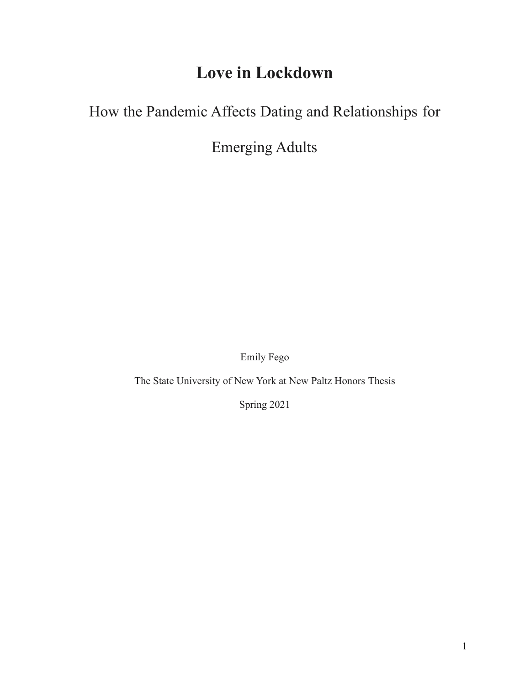# **Love in Lockdown**

## How the Pandemic Affects Dating and Relationships for

Emerging Adults

Emily Fego

The State University of New York at New Paltz Honors Thesis

Spring 2021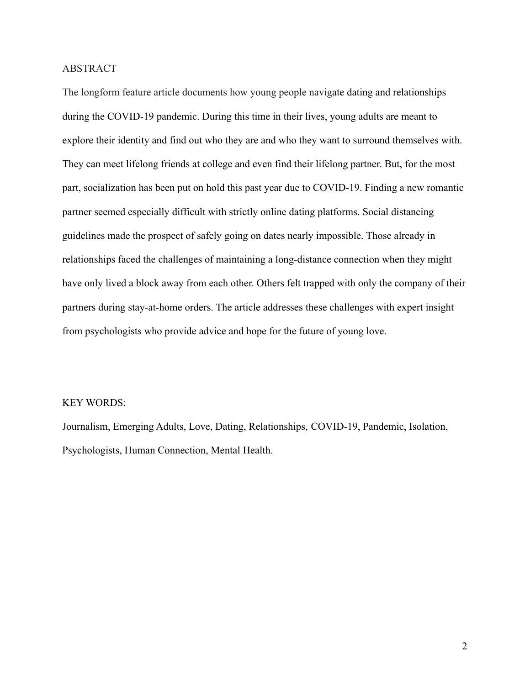## ABSTRACT

The longform feature article documents how young people navigate dating and relationships during the COVID-19 pandemic. During this time in their lives, young adults are meant to explore their identity and find out who they are and who they want to surround themselves with. They can meet lifelong friends at college and even find their lifelong partner. But, for the most part, socialization has been put on hold this past year due to COVID-19. Finding a new romantic partner seemed especially difficult with strictly online dating platforms. Social distancing guidelines made the prospect of safely going on dates nearly impossible. Those already in relationships faced the challenges of maintaining a long-distance connection when they might have only lived a block away from each other. Others felt trapped with only the company of their partners during stay-at-home orders. The article addresses these challenges with expert insight from psychologists who provide advice and hope for the future of young love.

#### KEY WORDS:

Journalism, Emerging Adults, Love, Dating, Relationships, COVID-19, Pandemic, Isolation, Psychologists, Human Connection, Mental Health.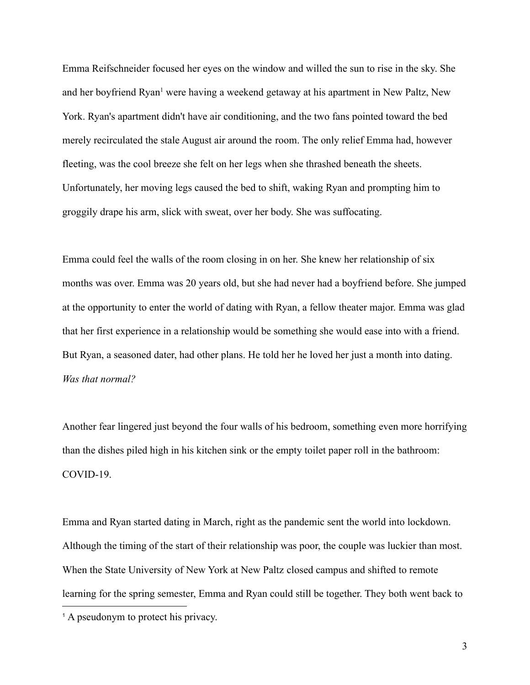Emma Reifschneider focused her eyes on the window and willed the sun to rise in the sky. She and her boyfriend Ryan<sup>1</sup> were having a weekend getaway at his apartment in New Paltz, New York. Ryan's apartment didn't have air conditioning, and the two fans pointed toward the bed merely recirculated the stale August air around the room. The only relief Emma had, however fleeting, was the cool breeze she felt on her legs when she thrashed beneath the sheets. Unfortunately, her moving legs caused the bed to shift, waking Ryan and prompting him to groggily drape his arm, slick with sweat, over her body. She was suffocating.

Emma could feel the walls of the room closing in on her. She knew her relationship of six months was over. Emma was 20 years old, but she had never had a boyfriend before. She jumped at the opportunity to enter the world of dating with Ryan, a fellow theater major. Emma was glad that her first experience in a relationship would be something she would ease into with a friend. But Ryan, a seasoned dater, had other plans. He told her he loved her just a month into dating. *Was that normal?*

Another fear lingered just beyond the four walls of his bedroom, something even more horrifying than the dishes piled high in his kitchen sink or the empty toilet paper roll in the bathroom: COVID-19.

Emma and Ryan started dating in March, right as the pandemic sent the world into lockdown. Although the timing of the start of their relationship was poor, the couple was luckier than most. When the State University of New York at New Paltz closed campus and shifted to remote learning for the spring semester, Emma and Ryan could still be together. They both went back to

<sup>&</sup>lt;sup>1</sup> A pseudonym to protect his privacy.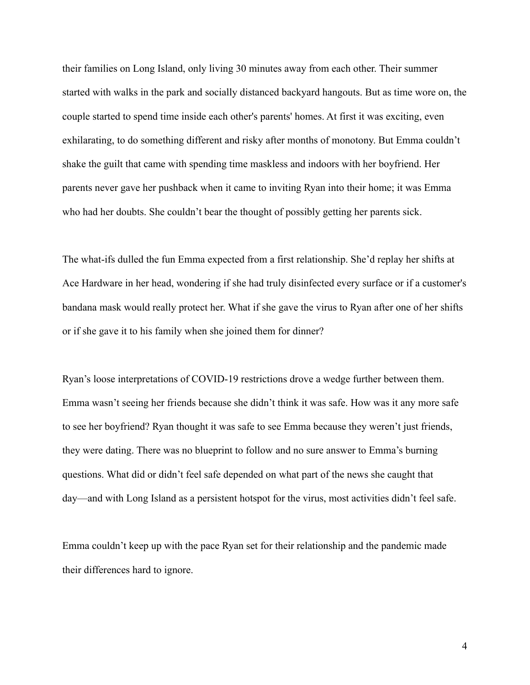their families on Long Island, only living 30 minutes away from each other. Their summer started with walks in the park and socially distanced backyard hangouts. But as time wore on, the couple started to spend time inside each other's parents' homes. At first it was exciting, even exhilarating, to do something different and risky after months of monotony. But Emma couldn't shake the guilt that came with spending time maskless and indoors with her boyfriend. Her parents never gave her pushback when it came to inviting Ryan into their home; it was Emma who had her doubts. She couldn't bear the thought of possibly getting her parents sick.

The what-ifs dulled the fun Emma expected from a first relationship. She'd replay her shifts at Ace Hardware in her head, wondering if she had truly disinfected every surface or if a customer's bandana mask would really protect her. What if she gave the virus to Ryan after one of her shifts or if she gave it to his family when she joined them for dinner?

Ryan's loose interpretations of COVID-19 restrictions drove a wedge further between them. Emma wasn't seeing her friends because she didn't think it was safe. How was it any more safe to see her boyfriend? Ryan thought it was safe to see Emma because they weren't just friends, they were dating. There was no blueprint to follow and no sure answer to Emma's burning questions. What did or didn't feel safe depended on what part of the news she caught that day—and with Long Island as a persistent hotspot for the virus, most activities didn't feel safe.

Emma couldn't keep up with the pace Ryan set for their relationship and the pandemic made their differences hard to ignore.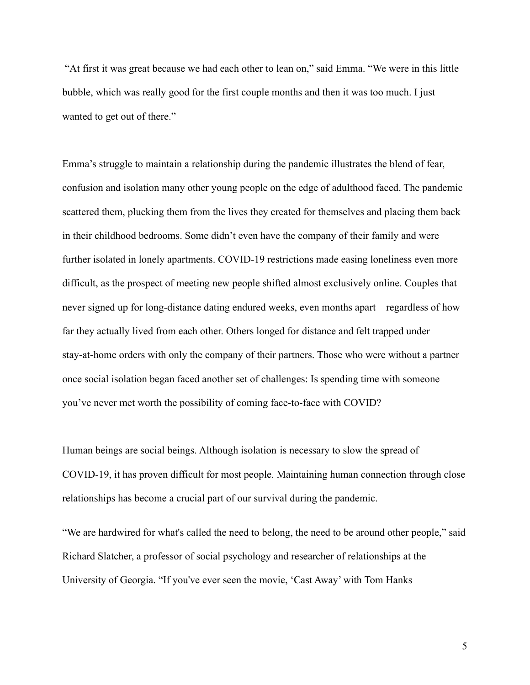"At first it was great because we had each other to lean on," said Emma. "We were in this little bubble, which was really good for the first couple months and then it was too much. I just wanted to get out of there."

Emma's struggle to maintain a relationship during the pandemic illustrates the blend of fear, confusion and isolation many other young people on the edge of adulthood faced. The pandemic scattered them, plucking them from the lives they created for themselves and placing them back in their childhood bedrooms. Some didn't even have the company of their family and were further isolated in lonely apartments. COVID-19 restrictions made easing loneliness even more difficult, as the prospect of meeting new people shifted almost exclusively online. Couples that never signed up for long-distance dating endured weeks, even months apart—regardless of how far they actually lived from each other. Others longed for distance and felt trapped under stay-at-home orders with only the company of their partners. Those who were without a partner once social isolation began faced another set of challenges: Is spending time with someone you've never met worth the possibility of coming face-to-face with COVID?

Human beings are social beings. Although isolation is necessary to slow the spread of COVID-19, it has proven difficult for most people. Maintaining human connection through close relationships has become a crucial part of our survival during the pandemic.

"We are hardwired for what's called the need to belong, the need to be around other people," said Richard Slatcher, a professor of social psychology and researcher of relationships at the University of Georgia. "If you've ever seen the movie, 'Cast Away' with Tom Hanks

5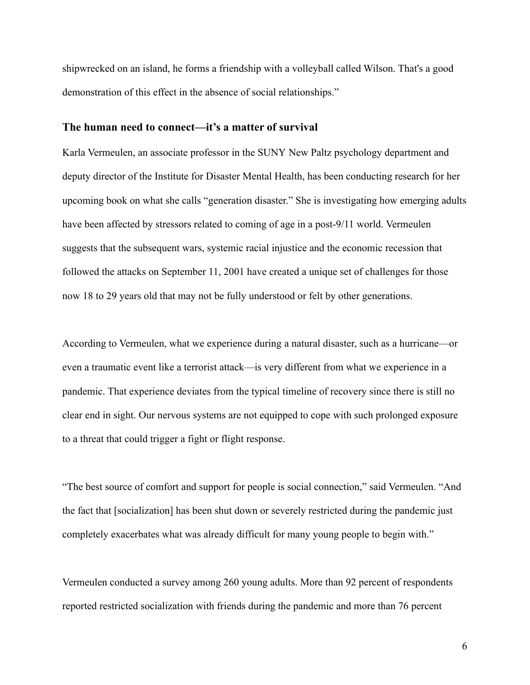shipwrecked on an island, he forms a friendship with a volleyball called Wilson. That's a good demonstration of this effect in the absence of social relationships."

#### **The human need to connect—it's a matter of survival**

Karla Vermeulen, an associate professor in the SUNY New Paltz psychology department and deputy director of the Institute for Disaster Mental Health, has been conducting research for her upcoming book on what she calls "generation disaster." She is investigating how emerging adults have been affected by stressors related to coming of age in a post-9/11 world. Vermeulen suggests that the subsequent wars, systemic racial injustice and the economic recession that followed the attacks on September 11, 2001 have created a unique set of challenges for those now 18 to 29 years old that may not be fully understood or felt by other generations.

According to Vermeulen, what we experience during a natural disaster, such as a hurricane—or even a traumatic event like a terrorist attack—is very different from what we experience in a pandemic. That experience deviates from the typical timeline of recovery since there is still no clear end in sight. Our nervous systems are not equipped to cope with such prolonged exposure to a threat that could trigger a fight or flight response.

"The best source of comfort and support for people is social connection," said Vermeulen. "And the fact that [socialization] has been shut down or severely restricted during the pandemic just completely exacerbates what was already difficult for many young people to begin with."

Vermeulen conducted a survey among 260 young adults. More than 92 percent of respondents reported restricted socialization with friends during the pandemic and more than 76 percent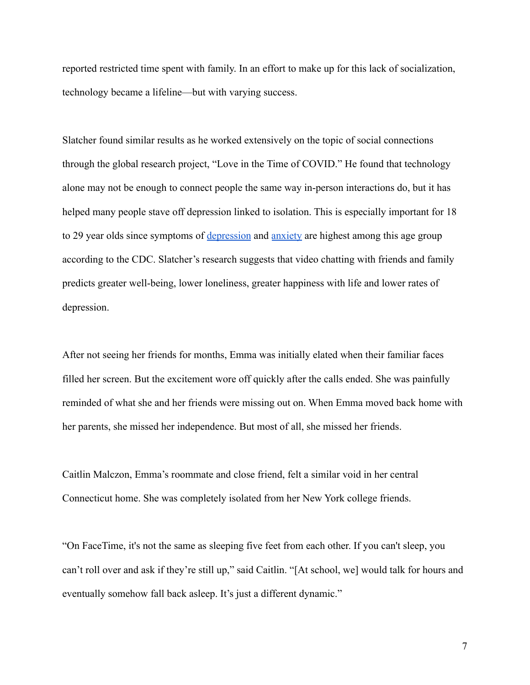reported restricted time spent with family. In an effort to make up for this lack of socialization, technology became a lifeline—but with varying success.

Slatcher found similar results as he worked extensively on the topic of social connections through the global research project, "Love in the Time of COVID." He found that technology alone may not be enough to connect people the same way in-person interactions do, but it has helped many people stave off depression linked to isolation. This is especially important for 18 to 29 year olds since symptoms of <u>[depression](https://www.cdc.gov/nchs/products/databriefs/db379.htm)</u> and [anxiety](https://www.cdc.gov/nchs/products/databriefs/db378.htm) are highest among this age group according to the CDC. Slatcher's research suggests that video chatting with friends and family predicts greater well-being, lower loneliness, greater happiness with life and lower rates of depression.

After not seeing her friends for months, Emma was initially elated when their familiar faces filled her screen. But the excitement wore off quickly after the calls ended. She was painfully reminded of what she and her friends were missing out on. When Emma moved back home with her parents, she missed her independence. But most of all, she missed her friends.

Caitlin Malczon, Emma's roommate and close friend, felt a similar void in her central Connecticut home. She was completely isolated from her New York college friends.

"On FaceTime, it's not the same as sleeping five feet from each other. If you can't sleep, you can't roll over and ask if they're still up," said Caitlin. "[At school, we] would talk for hours and eventually somehow fall back asleep. It's just a different dynamic."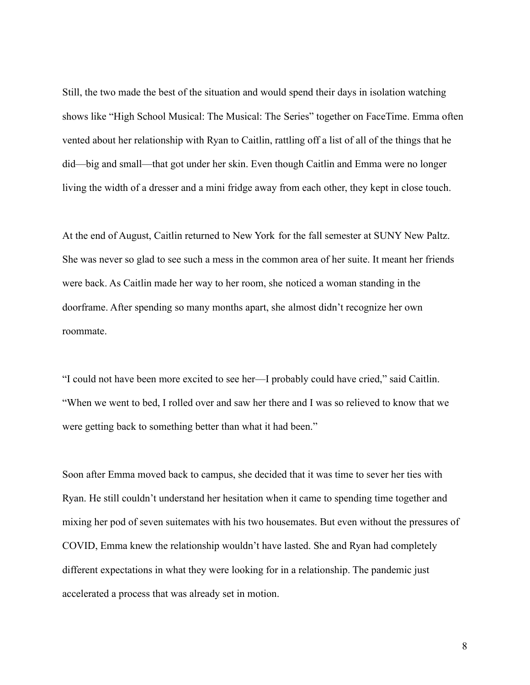Still, the two made the best of the situation and would spend their days in isolation watching shows like "High School Musical: The Musical: The Series" together on FaceTime. Emma often vented about her relationship with Ryan to Caitlin, rattling off a list of all of the things that he did—big and small—that got under her skin. Even though Caitlin and Emma were no longer living the width of a dresser and a mini fridge away from each other, they kept in close touch.

At the end of August, Caitlin returned to New York for the fall semester at SUNY New Paltz. She was never so glad to see such a mess in the common area of her suite. It meant her friends were back. As Caitlin made her way to her room, she noticed a woman standing in the doorframe. After spending so many months apart, she almost didn't recognize her own roommate.

"I could not have been more excited to see her—I probably could have cried," said Caitlin. "When we went to bed, I rolled over and saw her there and I was so relieved to know that we were getting back to something better than what it had been."

Soon after Emma moved back to campus, she decided that it was time to sever her ties with Ryan. He still couldn't understand her hesitation when it came to spending time together and mixing her pod of seven suitemates with his two housemates. But even without the pressures of COVID, Emma knew the relationship wouldn't have lasted. She and Ryan had completely different expectations in what they were looking for in a relationship. The pandemic just accelerated a process that was already set in motion.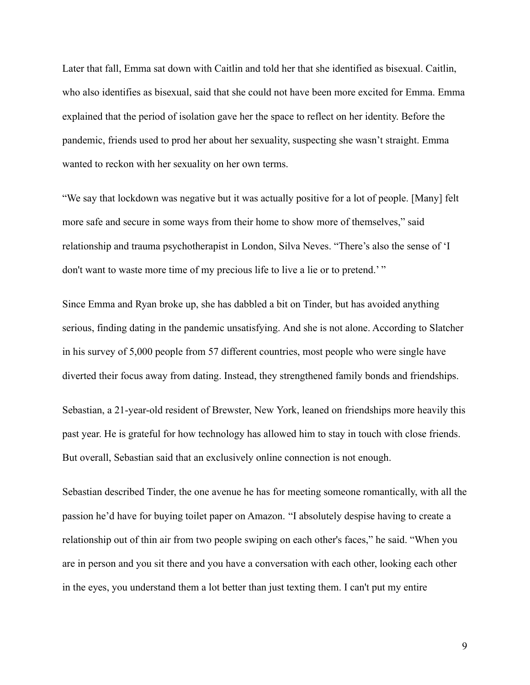Later that fall, Emma sat down with Caitlin and told her that she identified as bisexual. Caitlin, who also identifies as bisexual, said that she could not have been more excited for Emma. Emma explained that the period of isolation gave her the space to reflect on her identity. Before the pandemic, friends used to prod her about her sexuality, suspecting she wasn't straight. Emma wanted to reckon with her sexuality on her own terms.

"We say that lockdown was negative but it was actually positive for a lot of people. [Many] felt more safe and secure in some ways from their home to show more of themselves," said relationship and trauma psychotherapist in London, Silva Neves. "There's also the sense of 'I don't want to waste more time of my precious life to live a lie or to pretend.' "

Since Emma and Ryan broke up, she has dabbled a bit on Tinder, but has avoided anything serious, finding dating in the pandemic unsatisfying. And she is not alone. According to Slatcher in his survey of 5,000 people from 57 different countries, most people who were single have diverted their focus away from dating. Instead, they strengthened family bonds and friendships.

Sebastian, a 21-year-old resident of Brewster, New York, leaned on friendships more heavily this past year. He is grateful for how technology has allowed him to stay in touch with close friends. But overall, Sebastian said that an exclusively online connection is not enough.

Sebastian described Tinder, the one avenue he has for meeting someone romantically, with all the passion he'd have for buying toilet paper on Amazon. "I absolutely despise having to create a relationship out of thin air from two people swiping on each other's faces," he said. "When you are in person and you sit there and you have a conversation with each other, looking each other in the eyes, you understand them a lot better than just texting them. I can't put my entire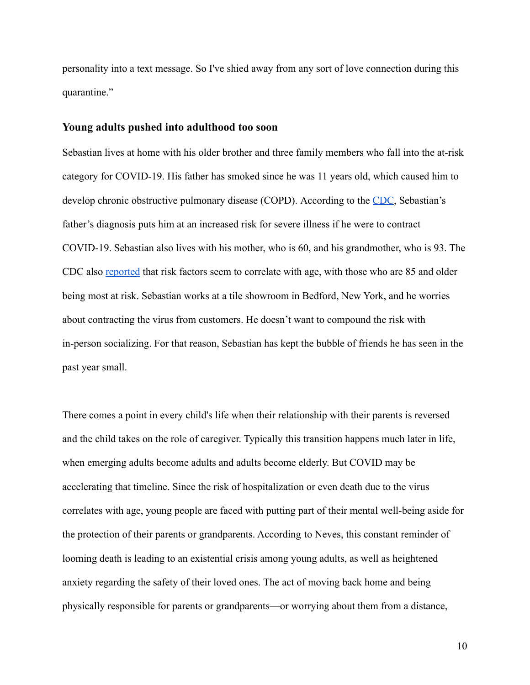personality into a text message. So I've shied away from any sort of love connection during this quarantine."

#### **Young adults pushed into adulthood too soon**

Sebastian lives at home with his older brother and three family members who fall into the at-risk category for COVID-19. His father has smoked since he was 11 years old, which caused him to develop chronic obstructive pulmonary disease (COPD). According to the [CDC](https://www.cdc.gov/coronavirus/2019-ncov/need-extra-precautions/people-with-medical-conditions.html), Sebastian's father's diagnosis puts him at an increased risk for severe illness if he were to contract COVID-19. Sebastian also lives with his mother, who is 60, and his grandmother, who is 93. The CDC also [reported](https://www.cdc.gov/coronavirus/2019-ncov/need-extra-precautions/older-adults.html#:~:text=The%20greatest%20risk%20for%20severe,intensive%20care%2C%20or%20a) that risk factors seem to correlate with age, with those who are 85 and older being most at risk. Sebastian works at a tile showroom in Bedford, New York, and he worries about contracting the virus from customers. He doesn't want to compound the risk with in-person socializing. For that reason, Sebastian has kept the bubble of friends he has seen in the past year small.

There comes a point in every child's life when their relationship with their parents is reversed and the child takes on the role of caregiver. Typically this transition happens much later in life, when emerging adults become adults and adults become elderly. But COVID may be accelerating that timeline. Since the risk of hospitalization or even death due to the virus correlates with age, young people are faced with putting part of their mental well-being aside for the protection of their parents or grandparents. According to Neves, this constant reminder of looming death is leading to an existential crisis among young adults, as well as heightened anxiety regarding the safety of their loved ones. The act of moving back home and being physically responsible for parents or grandparents—or worrying about them from a distance,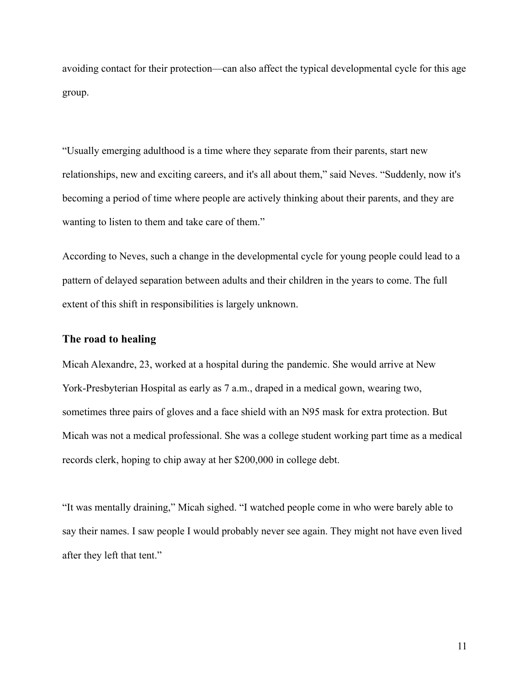avoiding contact for their protection—can also affect the typical developmental cycle for this age group.

"Usually emerging adulthood is a time where they separate from their parents, start new relationships, new and exciting careers, and it's all about them," said Neves. "Suddenly, now it's becoming a period of time where people are actively thinking about their parents, and they are wanting to listen to them and take care of them."

According to Neves, such a change in the developmental cycle for young people could lead to a pattern of delayed separation between adults and their children in the years to come. The full extent of this shift in responsibilities is largely unknown.

## **The road to healing**

Micah Alexandre, 23, worked at a hospital during the pandemic. She would arrive at New York-Presbyterian Hospital as early as 7 a.m., draped in a medical gown, wearing two, sometimes three pairs of gloves and a face shield with an N95 mask for extra protection. But Micah was not a medical professional. She was a college student working part time as a medical records clerk, hoping to chip away at her \$200,000 in college debt.

"It was mentally draining," Micah sighed. "I watched people come in who were barely able to say their names. I saw people I would probably never see again. They might not have even lived after they left that tent."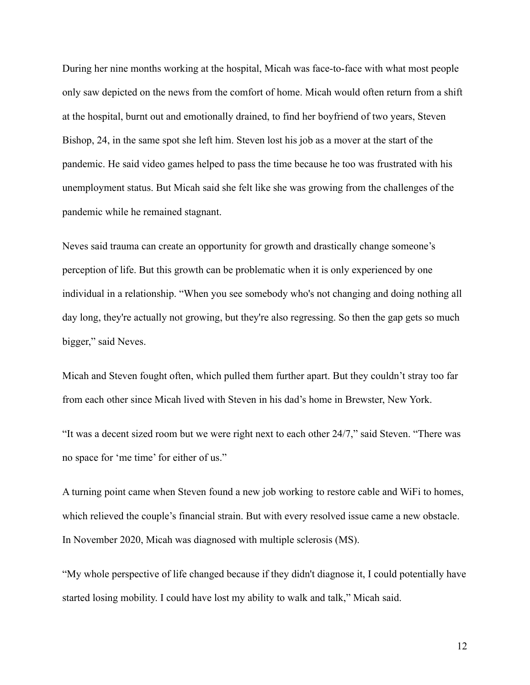During her nine months working at the hospital, Micah was face-to-face with what most people only saw depicted on the news from the comfort of home. Micah would often return from a shift at the hospital, burnt out and emotionally drained, to find her boyfriend of two years, Steven Bishop, 24, in the same spot she left him. Steven lost his job as a mover at the start of the pandemic. He said video games helped to pass the time because he too was frustrated with his unemployment status. But Micah said she felt like she was growing from the challenges of the pandemic while he remained stagnant.

Neves said trauma can create an opportunity for growth and drastically change someone's perception of life. But this growth can be problematic when it is only experienced by one individual in a relationship. "When you see somebody who's not changing and doing nothing all day long, they're actually not growing, but they're also regressing. So then the gap gets so much bigger," said Neves.

Micah and Steven fought often, which pulled them further apart. But they couldn't stray too far from each other since Micah lived with Steven in his dad's home in Brewster, New York.

"It was a decent sized room but we were right next to each other 24/7," said Steven. "There was no space for 'me time' for either of us."

A turning point came when Steven found a new job working to restore cable and WiFi to homes, which relieved the couple's financial strain. But with every resolved issue came a new obstacle. In November 2020, Micah was diagnosed with multiple sclerosis (MS).

"My whole perspective of life changed because if they didn't diagnose it, I could potentially have started losing mobility. I could have lost my ability to walk and talk," Micah said.

12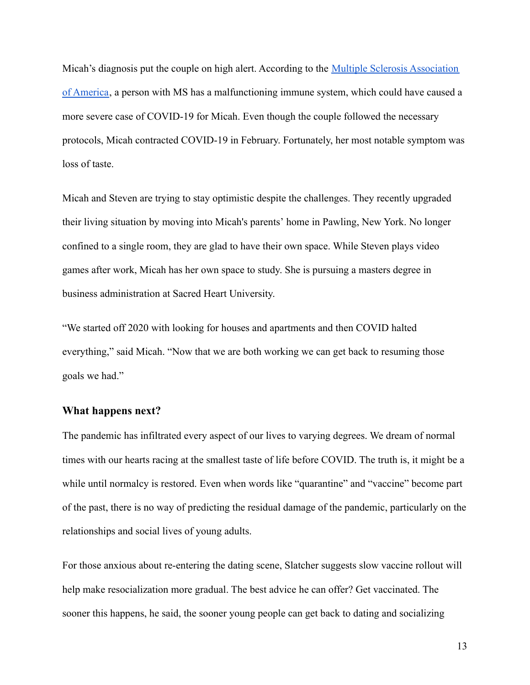Micah's diagnosis put the couple on high alert. According to the [Multiple Sclerosis Association](https://mymsaa.org/ms-information/overview/immune-system/#:~:text=With%20multiple%20sclerosis%20(MS)%2C,destroy%20the%20body) [of America](https://mymsaa.org/ms-information/overview/immune-system/#:~:text=With%20multiple%20sclerosis%20(MS)%2C,destroy%20the%20body), a person with MS has a malfunctioning immune system, which could have caused a more severe case of COVID-19 for Micah. Even though the couple followed the necessary protocols, Micah contracted COVID-19 in February. Fortunately, her most notable symptom was loss of taste.

Micah and Steven are trying to stay optimistic despite the challenges. They recently upgraded their living situation by moving into Micah's parents' home in Pawling, New York. No longer confined to a single room, they are glad to have their own space. While Steven plays video games after work, Micah has her own space to study. She is pursuing a masters degree in business administration at Sacred Heart University.

"We started off 2020 with looking for houses and apartments and then COVID halted everything," said Micah. "Now that we are both working we can get back to resuming those goals we had."

#### **What happens next?**

The pandemic has infiltrated every aspect of our lives to varying degrees. We dream of normal times with our hearts racing at the smallest taste of life before COVID. The truth is, it might be a while until normalcy is restored. Even when words like "quarantine" and "vaccine" become part of the past, there is no way of predicting the residual damage of the pandemic, particularly on the relationships and social lives of young adults.

For those anxious about re-entering the dating scene, Slatcher suggests slow vaccine rollout will help make resocialization more gradual. The best advice he can offer? Get vaccinated. The sooner this happens, he said, the sooner young people can get back to dating and socializing

13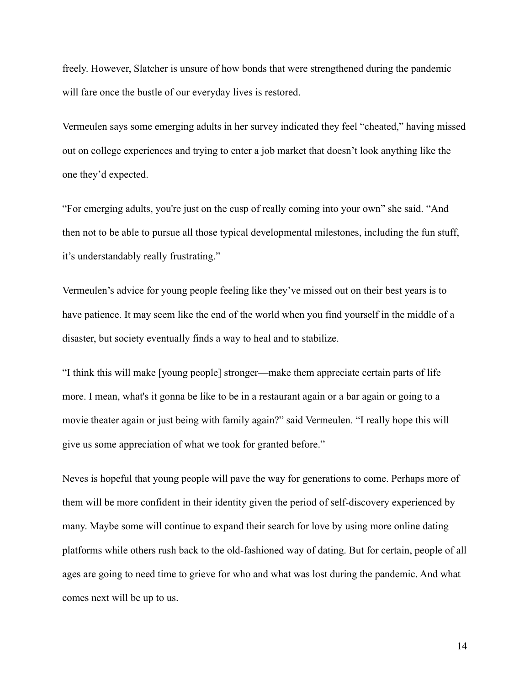freely. However, Slatcher is unsure of how bonds that were strengthened during the pandemic will fare once the bustle of our everyday lives is restored.

Vermeulen says some emerging adults in her survey indicated they feel "cheated," having missed out on college experiences and trying to enter a job market that doesn't look anything like the one they'd expected.

"For emerging adults, you're just on the cusp of really coming into your own" she said. "And then not to be able to pursue all those typical developmental milestones, including the fun stuff, it's understandably really frustrating."

Vermeulen's advice for young people feeling like they've missed out on their best years is to have patience. It may seem like the end of the world when you find yourself in the middle of a disaster, but society eventually finds a way to heal and to stabilize.

"I think this will make [young people] stronger—make them appreciate certain parts of life more. I mean, what's it gonna be like to be in a restaurant again or a bar again or going to a movie theater again or just being with family again?" said Vermeulen. "I really hope this will give us some appreciation of what we took for granted before."

Neves is hopeful that young people will pave the way for generations to come. Perhaps more of them will be more confident in their identity given the period of self-discovery experienced by many. Maybe some will continue to expand their search for love by using more online dating platforms while others rush back to the old-fashioned way of dating. But for certain, people of all ages are going to need time to grieve for who and what was lost during the pandemic. And what comes next will be up to us.